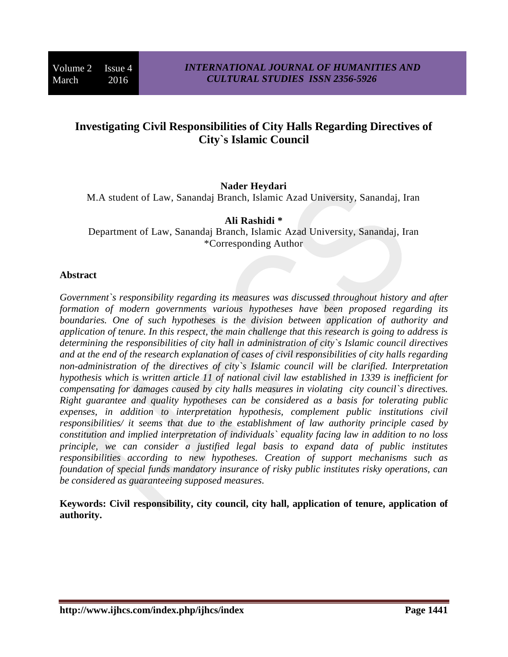# **Investigating Civil Responsibilities of City Halls Regarding Directives of City`s Islamic Council**

### **Nader Heydari**

M.A student of Law, Sanandaj Branch, Islamic Azad University, Sanandaj, Iran

#### **Ali Rashidi \***

Department of Law, Sanandaj Branch, Islamic Azad University, Sanandaj, Iran \*Corresponding Author

#### **Abstract**

*Government`s responsibility regarding its measures was discussed throughout history and after formation of modern governments various hypotheses have been proposed regarding its boundaries. One of such hypotheses is the division between application of authority and application of tenure. In this respect, the main challenge that this research is going to address is determining the responsibilities of city hall in administration of city`s Islamic council directives and at the end of the research explanation of cases of civil responsibilities of city halls regarding non-administration of the directives of city`s Islamic council will be clarified. Interpretation hypothesis which is written article 11 of national civil law established in 1339 is inefficient for compensating for damages caused by city halls measures in violating city council`s directives. Right guarantee and quality hypotheses can be considered as a basis for tolerating public expenses, in addition to interpretation hypothesis, complement public institutions civil responsibilities/ it seems that due to the establishment of law authority principle cased by constitution and implied interpretation of individuals` equality facing law in addition to no loss principle, we can consider a justified legal basis to expand data of public institutes responsibilities according to new hypotheses. Creation of support mechanisms such as foundation of special funds mandatory insurance of risky public institutes risky operations, can be considered as guaranteeing supposed measures.*

**Keywords: Civil responsibility, city council, city hall, application of tenure, application of authority.**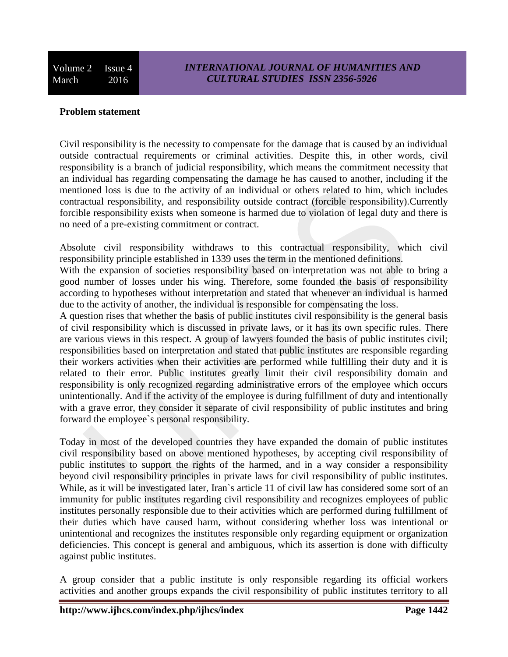### **Problem statement**

Civil responsibility is the necessity to compensate for the damage that is caused by an individual outside contractual requirements or criminal activities. Despite this, in other words, civil responsibility is a branch of judicial responsibility, which means the commitment necessity that an individual has regarding compensating the damage he has caused to another, including if the mentioned loss is due to the activity of an individual or others related to him, which includes contractual responsibility, and responsibility outside contract (forcible responsibility).Currently forcible responsibility exists when someone is harmed due to violation of legal duty and there is no need of a pre-existing commitment or contract.

Absolute civil responsibility withdraws to this contractual responsibility, which civil responsibility principle established in 1339 uses the term in the mentioned definitions.

With the expansion of societies responsibility based on interpretation was not able to bring a good number of losses under his wing. Therefore, some founded the basis of responsibility according to hypotheses without interpretation and stated that whenever an individual is harmed due to the activity of another, the individual is responsible for compensating the loss.

A question rises that whether the basis of public institutes civil responsibility is the general basis of civil responsibility which is discussed in private laws, or it has its own specific rules. There are various views in this respect. A group of lawyers founded the basis of public institutes civil; responsibilities based on interpretation and stated that public institutes are responsible regarding their workers activities when their activities are performed while fulfilling their duty and it is related to their error. Public institutes greatly limit their civil responsibility domain and responsibility is only recognized regarding administrative errors of the employee which occurs unintentionally. And if the activity of the employee is during fulfillment of duty and intentionally with a grave error, they consider it separate of civil responsibility of public institutes and bring forward the employee`s personal responsibility.

Today in most of the developed countries they have expanded the domain of public institutes civil responsibility based on above mentioned hypotheses, by accepting civil responsibility of public institutes to support the rights of the harmed, and in a way consider a responsibility beyond civil responsibility principles in private laws for civil responsibility of public institutes. While, as it will be investigated later, Iran`s article 11 of civil law has considered some sort of an immunity for public institutes regarding civil responsibility and recognizes employees of public institutes personally responsible due to their activities which are performed during fulfillment of their duties which have caused harm, without considering whether loss was intentional or unintentional and recognizes the institutes responsible only regarding equipment or organization deficiencies. This concept is general and ambiguous, which its assertion is done with difficulty against public institutes.

A group consider that a public institute is only responsible regarding its official workers activities and another groups expands the civil responsibility of public institutes territory to all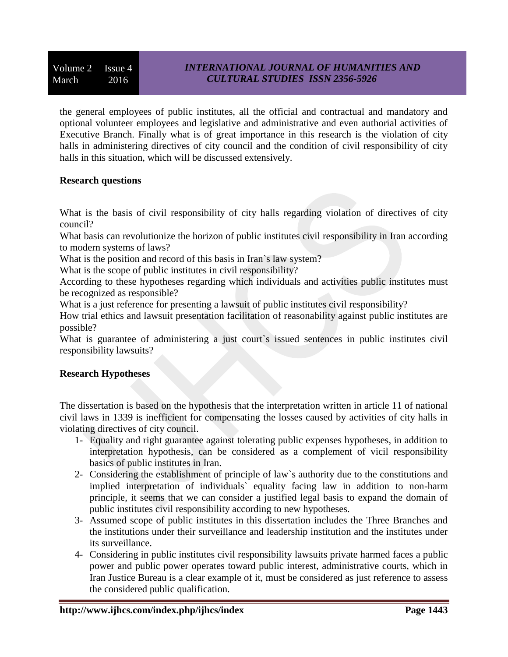the general employees of public institutes, all the official and contractual and mandatory and optional volunteer employees and legislative and administrative and even authorial activities of Executive Branch. Finally what is of great importance in this research is the violation of city halls in administering directives of city council and the condition of civil responsibility of city halls in this situation, which will be discussed extensively.

### **Research questions**

What is the basis of civil responsibility of city halls regarding violation of directives of city council?

What basis can revolutionize the horizon of public institutes civil responsibility in Iran according to modern systems of laws?

What is the position and record of this basis in Iran's law system?

What is the scope of public institutes in civil responsibility?

According to these hypotheses regarding which individuals and activities public institutes must be recognized as responsible?

What is a just reference for presenting a lawsuit of public institutes civil responsibility?

How trial ethics and lawsuit presentation facilitation of reasonability against public institutes are possible?

What is guarantee of administering a just court's issued sentences in public institutes civil responsibility lawsuits?

# **Research Hypotheses**

The dissertation is based on the hypothesis that the interpretation written in article 11 of national civil laws in 1339 is inefficient for compensating the losses caused by activities of city halls in violating directives of city council.

- 1- Equality and right guarantee against tolerating public expenses hypotheses, in addition to interpretation hypothesis, can be considered as a complement of vicil responsibility basics of public institutes in Iran.
- 2- Considering the establishment of principle of law`s authority due to the constitutions and implied interpretation of individuals` equality facing law in addition to non-harm principle, it seems that we can consider a justified legal basis to expand the domain of public institutes civil responsibility according to new hypotheses.
- 3- Assumed scope of public institutes in this dissertation includes the Three Branches and the institutions under their surveillance and leadership institution and the institutes under its surveillance.
- 4- Considering in public institutes civil responsibility lawsuits private harmed faces a public power and public power operates toward public interest, administrative courts, which in Iran Justice Bureau is a clear example of it, must be considered as just reference to assess the considered public qualification.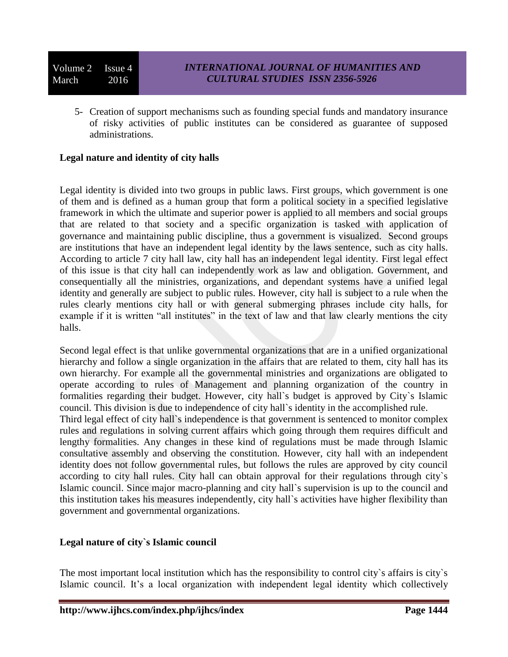Volume 2 Issue 4 March 2016

5- Creation of support mechanisms such as founding special funds and mandatory insurance of risky activities of public institutes can be considered as guarantee of supposed administrations.

# **Legal nature and identity of city halls**

Legal identity is divided into two groups in public laws. First groups, which government is one of them and is defined as a human group that form a political society in a specified legislative framework in which the ultimate and superior power is applied to all members and social groups that are related to that society and a specific organization is tasked with application of governance and maintaining public discipline, thus a government is visualized. Second groups are institutions that have an independent legal identity by the laws sentence, such as city halls. According to article 7 city hall law, city hall has an independent legal identity. First legal effect of this issue is that city hall can independently work as law and obligation. Government, and consequentially all the ministries, organizations, and dependant systems have a unified legal identity and generally are subject to public rules. However, city hall is subject to a rule when the rules clearly mentions city hall or with general submerging phrases include city halls, for example if it is written "all institutes" in the text of law and that law clearly mentions the city halls.

Second legal effect is that unlike governmental organizations that are in a unified organizational hierarchy and follow a single organization in the affairs that are related to them, city hall has its own hierarchy. For example all the governmental ministries and organizations are obligated to operate according to rules of Management and planning organization of the country in formalities regarding their budget. However, city hall`s budget is approved by City`s Islamic council. This division is due to independence of city hall`s identity in the accomplished rule. Third legal effect of city hall`s independence is that government is sentenced to monitor complex rules and regulations in solving current affairs which going through them requires difficult and lengthy formalities. Any changes in these kind of regulations must be made through Islamic consultative assembly and observing the constitution. However, city hall with an independent identity does not follow governmental rules, but follows the rules are approved by city council according to city hall rules. City hall can obtain approval for their regulations through city`s Islamic council. Since major macro-planning and city hall`s supervision is up to the council and this institution takes his measures independently, city hall`s activities have higher flexibility than government and governmental organizations.

# **Legal nature of city`s Islamic council**

The most important local institution which has the responsibility to control city`s affairs is city`s Islamic council. It's a local organization with independent legal identity which collectively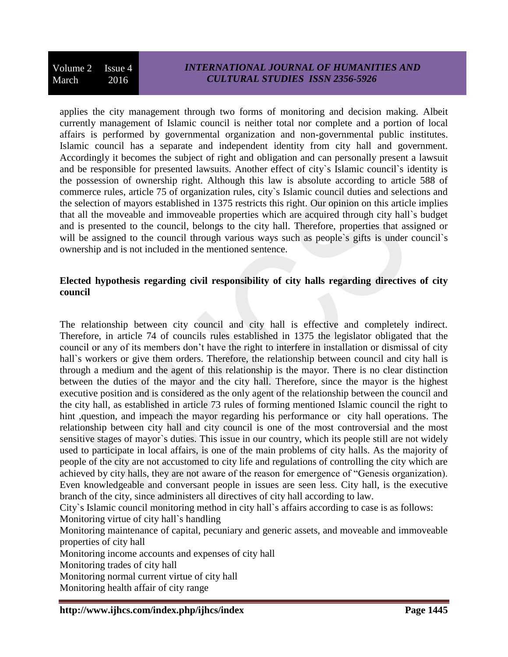applies the city management through two forms of monitoring and decision making. Albeit currently management of Islamic council is neither total nor complete and a portion of local affairs is performed by governmental organization and non-governmental public institutes. Islamic council has a separate and independent identity from city hall and government. Accordingly it becomes the subject of right and obligation and can personally present a lawsuit and be responsible for presented lawsuits. Another effect of city`s Islamic council`s identity is the possession of ownership right. Although this law is absolute according to article 588 of commerce rules, article 75 of organization rules, city`s Islamic council duties and selections and the selection of mayors established in 1375 restricts this right. Our opinion on this article implies that all the moveable and immoveable properties which are acquired through city hall`s budget and is presented to the council, belongs to the city hall. Therefore, properties that assigned or will be assigned to the council through various ways such as people's gifts is under council's ownership and is not included in the mentioned sentence.

# **Elected hypothesis regarding civil responsibility of city halls regarding directives of city council**

The relationship between city council and city hall is effective and completely indirect. Therefore, in article 74 of councils rules established in 1375 the legislator obligated that the council or any of its members don't have the right to interfere in installation or dismissal of city hall's workers or give them orders. Therefore, the relationship between council and city hall is through a medium and the agent of this relationship is the mayor. There is no clear distinction between the duties of the mayor and the city hall. Therefore, since the mayor is the highest executive position and is considered as the only agent of the relationship between the council and the city hall, as established in article 73 rules of forming mentioned Islamic council the right to hint ,question, and impeach the mayor regarding his performance or city hall operations. The relationship between city hall and city council is one of the most controversial and the most sensitive stages of mayor`s duties. This issue in our country, which its people still are not widely used to participate in local affairs, is one of the main problems of city halls. As the majority of people of the city are not accustomed to city life and regulations of controlling the city which are achieved by city halls, they are not aware of the reason for emergence of "Genesis organization). Even knowledgeable and conversant people in issues are seen less. City hall, is the executive branch of the city, since administers all directives of city hall according to law.

City`s Islamic council monitoring method in city hall`s affairs according to case is as follows:

Monitoring virtue of city hall`s handling

Monitoring maintenance of capital, pecuniary and generic assets, and moveable and immoveable properties of city hall

Monitoring income accounts and expenses of city hall

Monitoring trades of city hall

Monitoring normal current virtue of city hall

Monitoring health affair of city range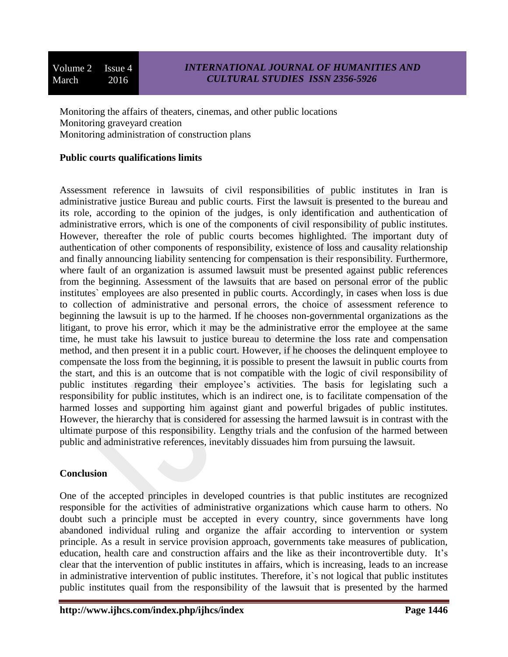Volume 2 Issue 4 March 2016

Monitoring the affairs of theaters, cinemas, and other public locations Monitoring graveyard creation Monitoring administration of construction plans

### **Public courts qualifications limits**

Assessment reference in lawsuits of civil responsibilities of public institutes in Iran is administrative justice Bureau and public courts. First the lawsuit is presented to the bureau and its role, according to the opinion of the judges, is only identification and authentication of administrative errors, which is one of the components of civil responsibility of public institutes. However, thereafter the role of public courts becomes highlighted. The important duty of authentication of other components of responsibility, existence of loss and causality relationship and finally announcing liability sentencing for compensation is their responsibility. Furthermore, where fault of an organization is assumed lawsuit must be presented against public references from the beginning. Assessment of the lawsuits that are based on personal error of the public institutes` employees are also presented in public courts. Accordingly, in cases when loss is due to collection of administrative and personal errors, the choice of assessment reference to beginning the lawsuit is up to the harmed. If he chooses non-governmental organizations as the litigant, to prove his error, which it may be the administrative error the employee at the same time, he must take his lawsuit to justice bureau to determine the loss rate and compensation method, and then present it in a public court. However, if he chooses the delinquent employee to compensate the loss from the beginning, it is possible to present the lawsuit in public courts from the start, and this is an outcome that is not compatible with the logic of civil responsibility of public institutes regarding their employee's activities. The basis for legislating such a responsibility for public institutes, which is an indirect one, is to facilitate compensation of the harmed losses and supporting him against giant and powerful brigades of public institutes. However, the hierarchy that is considered for assessing the harmed lawsuit is in contrast with the ultimate purpose of this responsibility. Lengthy trials and the confusion of the harmed between public and administrative references, inevitably dissuades him from pursuing the lawsuit.

#### **Conclusion**

One of the accepted principles in developed countries is that public institutes are recognized responsible for the activities of administrative organizations which cause harm to others. No doubt such a principle must be accepted in every country, since governments have long abandoned individual ruling and organize the affair according to intervention or system principle. As a result in service provision approach, governments take measures of publication, education, health care and construction affairs and the like as their incontrovertible duty. It's clear that the intervention of public institutes in affairs, which is increasing, leads to an increase in administrative intervention of public institutes. Therefore, it`s not logical that public institutes public institutes quail from the responsibility of the lawsuit that is presented by the harmed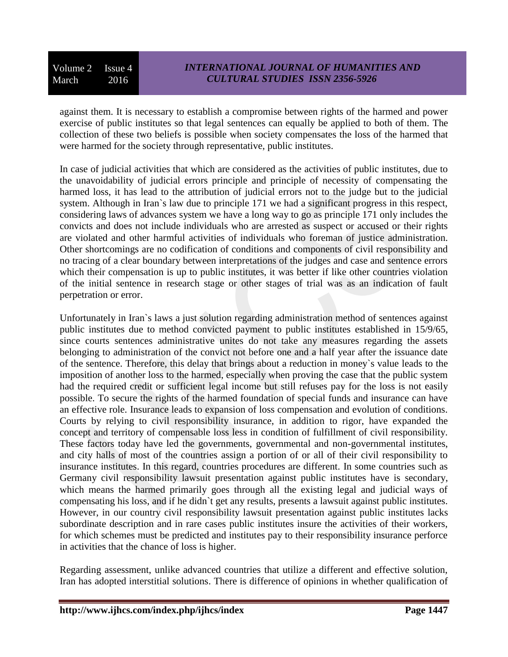Volume 2 Issue 4 March 2016

against them. It is necessary to establish a compromise between rights of the harmed and power exercise of public institutes so that legal sentences can equally be applied to both of them. The collection of these two beliefs is possible when society compensates the loss of the harmed that were harmed for the society through representative, public institutes.

In case of judicial activities that which are considered as the activities of public institutes, due to the unavoidability of judicial errors principle and principle of necessity of compensating the harmed loss, it has lead to the attribution of judicial errors not to the judge but to the judicial system. Although in Iran`s law due to principle 171 we had a significant progress in this respect, considering laws of advances system we have a long way to go as principle 171 only includes the convicts and does not include individuals who are arrested as suspect or accused or their rights are violated and other harmful activities of individuals who foreman of justice administration. Other shortcomings are no codification of conditions and components of civil responsibility and no tracing of a clear boundary between interpretations of the judges and case and sentence errors which their compensation is up to public institutes, it was better if like other countries violation of the initial sentence in research stage or other stages of trial was as an indication of fault perpetration or error.

Unfortunately in Iran`s laws a just solution regarding administration method of sentences against public institutes due to method convicted payment to public institutes established in 15/9/65, since courts sentences administrative unites do not take any measures regarding the assets belonging to administration of the convict not before one and a half year after the issuance date of the sentence. Therefore, this delay that brings about a reduction in money`s value leads to the imposition of another loss to the harmed, especially when proving the case that the public system had the required credit or sufficient legal income but still refuses pay for the loss is not easily possible. To secure the rights of the harmed foundation of special funds and insurance can have an effective role. Insurance leads to expansion of loss compensation and evolution of conditions. Courts by relying to civil responsibility insurance, in addition to rigor, have expanded the concept and territory of compensable loss less in condition of fulfillment of civil responsibility. These factors today have led the governments, governmental and non-governmental institutes, and city halls of most of the countries assign a portion of or all of their civil responsibility to insurance institutes. In this regard, countries procedures are different. In some countries such as Germany civil responsibility lawsuit presentation against public institutes have is secondary, which means the harmed primarily goes through all the existing legal and judicial ways of compensating his loss, and if he didn`t get any results, presents a lawsuit against public institutes. However, in our country civil responsibility lawsuit presentation against public institutes lacks subordinate description and in rare cases public institutes insure the activities of their workers, for which schemes must be predicted and institutes pay to their responsibility insurance perforce in activities that the chance of loss is higher.

Regarding assessment, unlike advanced countries that utilize a different and effective solution, Iran has adopted interstitial solutions. There is difference of opinions in whether qualification of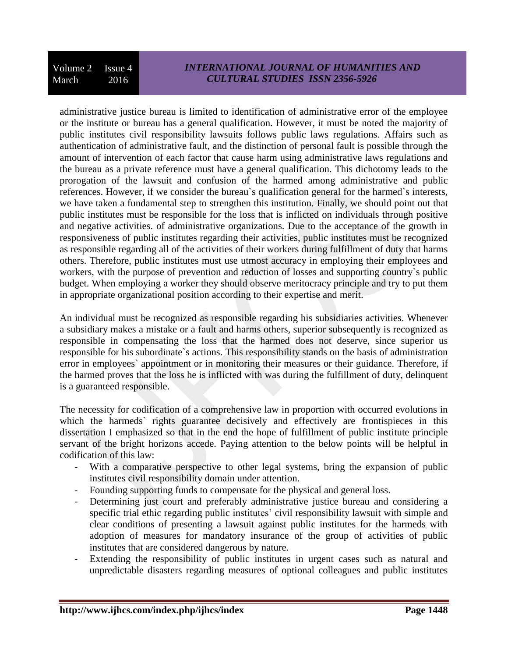# *INTERNATIONAL JOURNAL OF HUMANITIES AND CULTURAL STUDIES ISSN 2356-5926*

administrative justice bureau is limited to identification of administrative error of the employee or the institute or bureau has a general qualification. However, it must be noted the majority of public institutes civil responsibility lawsuits follows public laws regulations. Affairs such as authentication of administrative fault, and the distinction of personal fault is possible through the amount of intervention of each factor that cause harm using administrative laws regulations and the bureau as a private reference must have a general qualification. This dichotomy leads to the prorogation of the lawsuit and confusion of the harmed among administrative and public references. However, if we consider the bureau`s qualification general for the harmed`s interests, we have taken a fundamental step to strengthen this institution. Finally, we should point out that public institutes must be responsible for the loss that is inflicted on individuals through positive and negative activities. of administrative organizations. Due to the acceptance of the growth in responsiveness of public institutes regarding their activities, public institutes must be recognized as responsible regarding all of the activities of their workers during fulfillment of duty that harms others. Therefore, public institutes must use utmost accuracy in employing their employees and workers, with the purpose of prevention and reduction of losses and supporting country`s public budget. When employing a worker they should observe meritocracy principle and try to put them in appropriate organizational position according to their expertise and merit.

An individual must be recognized as responsible regarding his subsidiaries activities. Whenever a subsidiary makes a mistake or a fault and harms others, superior subsequently is recognized as responsible in compensating the loss that the harmed does not deserve, since superior us responsible for his subordinate`s actions. This responsibility stands on the basis of administration error in employees` appointment or in monitoring their measures or their guidance. Therefore, if the harmed proves that the loss he is inflicted with was during the fulfillment of duty, delinquent is a guaranteed responsible.

The necessity for codification of a comprehensive law in proportion with occurred evolutions in which the harmeds` rights guarantee decisively and effectively are frontispieces in this dissertation I emphasized so that in the end the hope of fulfillment of public institute principle servant of the bright horizons accede. Paying attention to the below points will be helpful in codification of this law:

- With a comparative perspective to other legal systems, bring the expansion of public institutes civil responsibility domain under attention.
- Founding supporting funds to compensate for the physical and general loss.
- Determining just court and preferably administrative justice bureau and considering a specific trial ethic regarding public institutes' civil responsibility lawsuit with simple and clear conditions of presenting a lawsuit against public institutes for the harmeds with adoption of measures for mandatory insurance of the group of activities of public institutes that are considered dangerous by nature.
- Extending the responsibility of public institutes in urgent cases such as natural and unpredictable disasters regarding measures of optional colleagues and public institutes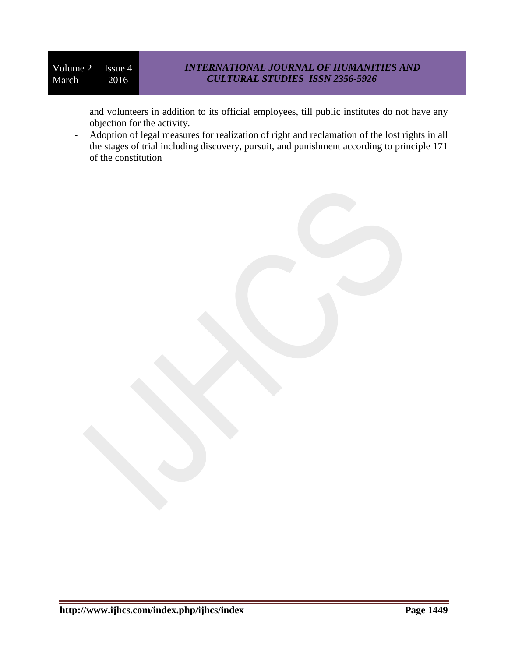and volunteers in addition to its official employees, till public institutes do not have any objection for the activity.

- Adoption of legal measures for realization of right and reclamation of the lost rights in all the stages of trial including discovery, pursuit, and punishment according to principle 171 of the constitution

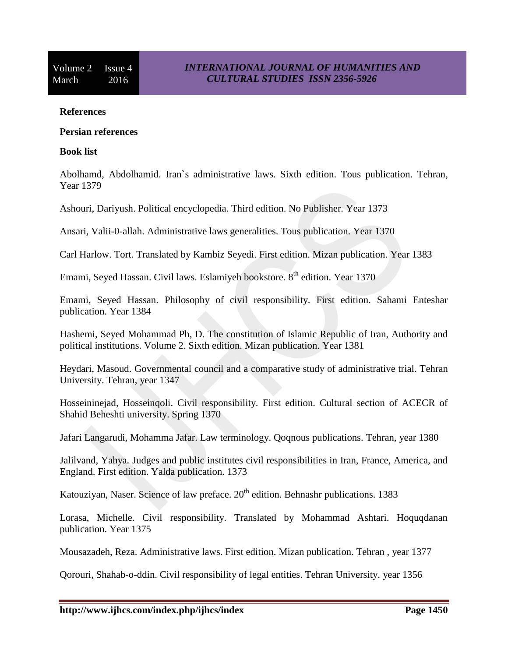#### **References**

#### **Persian references**

#### **Book list**

Abolhamd, Abdolhamid. Iran`s administrative laws. Sixth edition. Tous publication. Tehran, Year 1379

Ashouri, Dariyush. Political encyclopedia. Third edition. No Publisher. Year 1373

Ansari, Valii-0-allah. Administrative laws generalities. Tous publication. Year 1370

Carl Harlow. Tort. Translated by Kambiz Seyedi. First edition. Mizan publication. Year 1383

Emami, Seyed Hassan. Civil laws. Eslamiyeh bookstore. 8<sup>th</sup> edition. Year 1370

Emami, Seyed Hassan. Philosophy of civil responsibility. First edition. Sahami Enteshar publication. Year 1384

Hashemi, Seyed Mohammad Ph, D. The constitution of Islamic Republic of Iran, Authority and political institutions. Volume 2. Sixth edition. Mizan publication. Year 1381

Heydari, Masoud. Governmental council and a comparative study of administrative trial. Tehran University. Tehran, year 1347

Hosseininejad, Hosseinqoli. Civil responsibility. First edition. Cultural section of ACECR of Shahid Beheshti university. Spring 1370

Jafari Langarudi, Mohamma Jafar. Law terminology. Qoqnous publications. Tehran, year 1380

Jalilvand, Yahya. Judges and public institutes civil responsibilities in Iran, France, America, and England. First edition. Yalda publication. 1373

Katouziyan, Naser. Science of law preface.  $20<sup>th</sup>$  edition. Behnashr publications. 1383

Lorasa, Michelle. Civil responsibility. Translated by Mohammad Ashtari. Hoquqdanan publication. Year 1375

Mousazadeh, Reza. Administrative laws. First edition. Mizan publication. Tehran , year 1377

Qorouri, Shahab-o-ddin. Civil responsibility of legal entities. Tehran University. year 1356